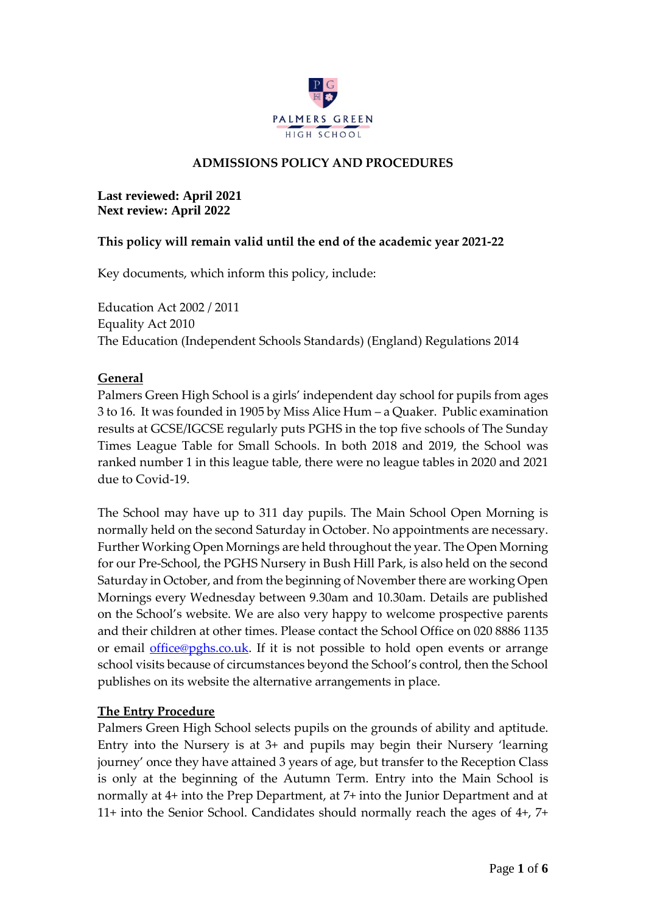

## **ADMISSIONS POLICY AND PROCEDURES**

#### **Last reviewed: April 2021 Next review: April 2022**

### **This policy will remain valid until the end of the academic year 2021-22**

Key documents, which inform this policy, include:

Education Act 2002 / 2011 Equality Act 2010 The Education (Independent Schools Standards) (England) Regulations 2014

### **General**

Palmers Green High School is a girls' independent day school for pupils from ages 3 to 16. It was founded in 1905 by Miss Alice Hum – a Quaker. Public examination results at GCSE/IGCSE regularly puts PGHS in the top five schools of The Sunday Times League Table for Small Schools. In both 2018 and 2019, the School was ranked number 1 in this league table, there were no league tables in 2020 and 2021 due to Covid-19.

The School may have up to 311 day pupils. The Main School Open Morning is normally held on the second Saturday in October. No appointments are necessary. Further Working Open Mornings are held throughout the year. The Open Morning for our Pre-School, the PGHS Nursery in Bush Hill Park, is also held on the second Saturday in October, and from the beginning of November there are working Open Mornings every Wednesday between 9.30am and 10.30am. Details are published on the School's website. We are also very happy to welcome prospective parents and their children at other times. Please contact the School Office on 020 8886 1135 or email [office@pghs.co.uk.](mailto:office@pghs.co.uk) If it is not possible to hold open events or arrange school visits because of circumstances beyond the School's control, then the School publishes on its website the alternative arrangements in place.

### **The Entry Procedure**

Palmers Green High School selects pupils on the grounds of ability and aptitude. Entry into the Nursery is at 3+ and pupils may begin their Nursery 'learning journey' once they have attained 3 years of age, but transfer to the Reception Class is only at the beginning of the Autumn Term. Entry into the Main School is normally at 4+ into the Prep Department, at 7+ into the Junior Department and at 11+ into the Senior School. Candidates should normally reach the ages of 4+, 7+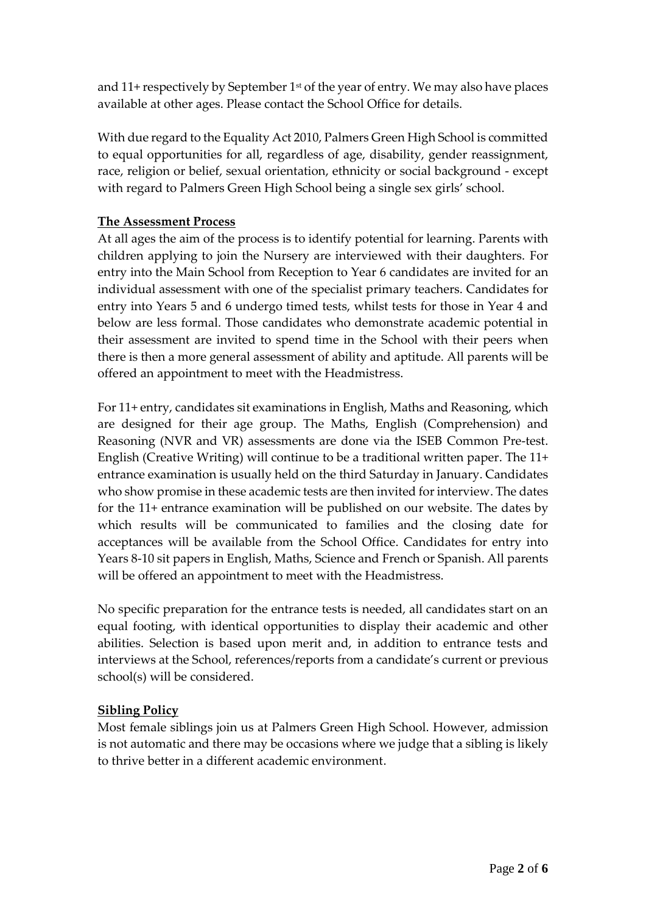and 11+ respectively by September 1st of the year of entry. We may also have places available at other ages. Please contact the School Office for details.

With due regard to the Equality Act 2010, Palmers Green High School is committed to equal opportunities for all, regardless of age, disability, gender reassignment, race, religion or belief, sexual orientation, ethnicity or social background - except with regard to Palmers Green High School being a single sex girls' school.

# **The Assessment Process**

At all ages the aim of the process is to identify potential for learning. Parents with children applying to join the Nursery are interviewed with their daughters. For entry into the Main School from Reception to Year 6 candidates are invited for an individual assessment with one of the specialist primary teachers. Candidates for entry into Years 5 and 6 undergo timed tests, whilst tests for those in Year 4 and below are less formal. Those candidates who demonstrate academic potential in their assessment are invited to spend time in the School with their peers when there is then a more general assessment of ability and aptitude. All parents will be offered an appointment to meet with the Headmistress.

For 11+ entry, candidates sit examinations in English, Maths and Reasoning, which are designed for their age group. The Maths, English (Comprehension) and Reasoning (NVR and VR) assessments are done via the ISEB Common Pre-test. English (Creative Writing) will continue to be a traditional written paper. The 11+ entrance examination is usually held on the third Saturday in January. Candidates who show promise in these academic tests are then invited for interview. The dates for the 11+ entrance examination will be published on our website. The dates by which results will be communicated to families and the closing date for acceptances will be available from the School Office. Candidates for entry into Years 8-10 sit papers in English, Maths, Science and French or Spanish. All parents will be offered an appointment to meet with the Headmistress.

No specific preparation for the entrance tests is needed, all candidates start on an equal footing, with identical opportunities to display their academic and other abilities. Selection is based upon merit and, in addition to entrance tests and interviews at the School, references/reports from a candidate's current or previous school(s) will be considered.

# **Sibling Policy**

Most female siblings join us at Palmers Green High School. However, admission is not automatic and there may be occasions where we judge that a sibling is likely to thrive better in a different academic environment.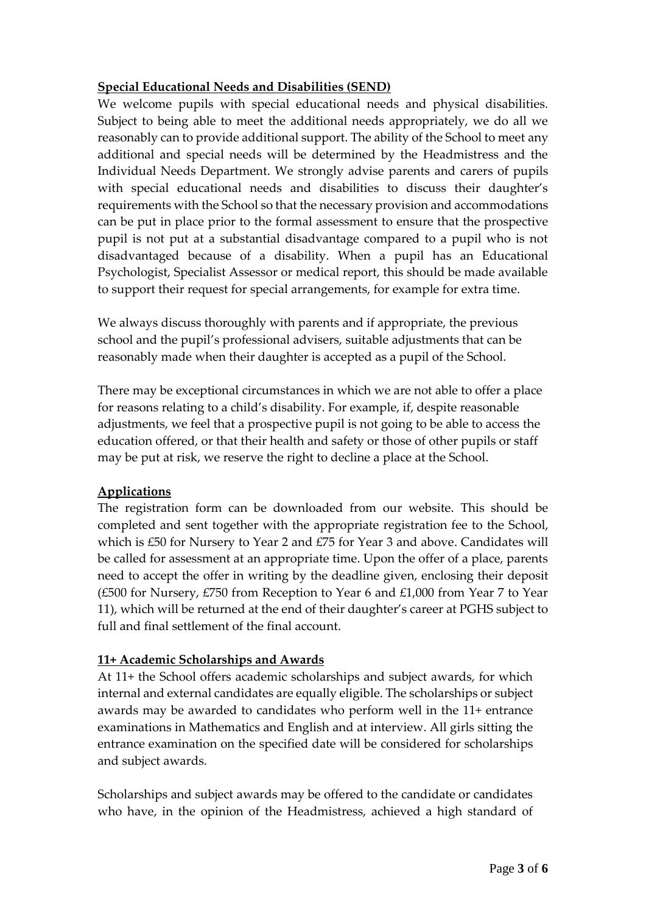# **Special Educational Needs and Disabilities (SEND)**

We welcome pupils with special educational needs and physical disabilities. Subject to being able to meet the additional needs appropriately, we do all we reasonably can to provide additional support. The ability of the School to meet any additional and special needs will be determined by the Headmistress and the Individual Needs Department. We strongly advise parents and carers of pupils with special educational needs and disabilities to discuss their daughter's requirements with the School so that the necessary provision and accommodations can be put in place prior to the formal assessment to ensure that the prospective pupil is not put at a substantial disadvantage compared to a pupil who is not disadvantaged because of a disability. When a pupil has an Educational Psychologist, Specialist Assessor or medical report, this should be made available to support their request for special arrangements, for example for extra time.

We always discuss thoroughly with parents and if appropriate, the previous school and the pupil's professional advisers, suitable adjustments that can be reasonably made when their daughter is accepted as a pupil of the School.

There may be exceptional circumstances in which we are not able to offer a place for reasons relating to a child's disability. For example, if, despite reasonable adjustments, we feel that a prospective pupil is not going to be able to access the education offered, or that their health and safety or those of other pupils or staff may be put at risk, we reserve the right to decline a place at the School.

# **Applications**

The registration form can be downloaded from our website. This should be completed and sent together with the appropriate registration fee to the School, which is £50 for Nursery to Year 2 and £75 for Year 3 and above. Candidates will be called for assessment at an appropriate time. Upon the offer of a place, parents need to accept the offer in writing by the deadline given, enclosing their deposit (£500 for Nursery, £750 from Reception to Year 6 and £1,000 from Year 7 to Year 11), which will be returned at the end of their daughter's career at PGHS subject to full and final settlement of the final account.

### **11+ Academic Scholarships and Awards**

At 11+ the School offers academic scholarships and subject awards, for which internal and external candidates are equally eligible. The scholarships or subject awards may be awarded to candidates who perform well in the 11+ entrance examinations in Mathematics and English and at interview. All girls sitting the entrance examination on the specified date will be considered for scholarships and subject awards.

Scholarships and subject awards may be offered to the candidate or candidates who have, in the opinion of the Headmistress, achieved a high standard of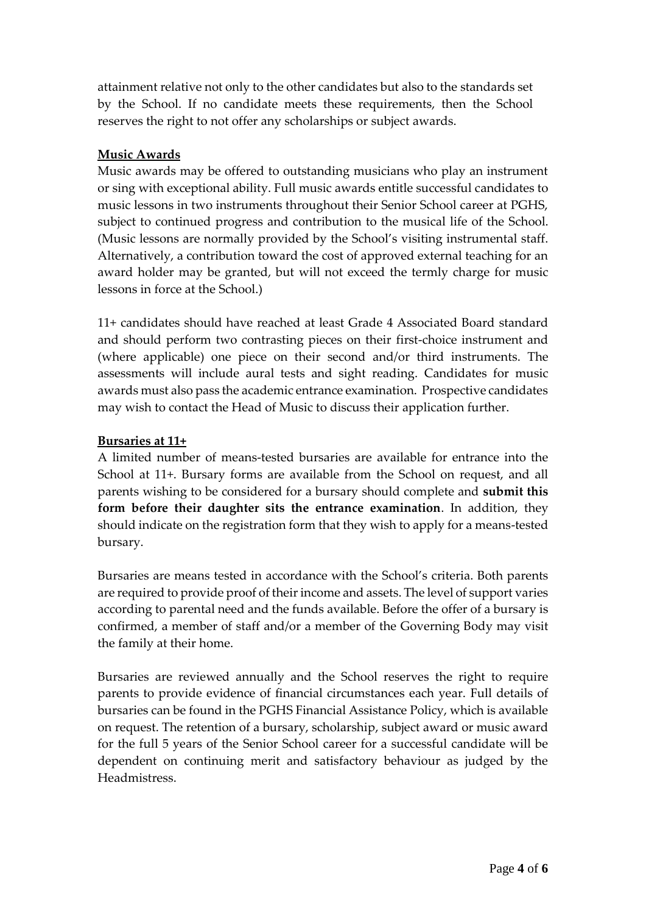attainment relative not only to the other candidates but also to the standards set by the School. If no candidate meets these requirements, then the School reserves the right to not offer any scholarships or subject awards.

#### **Music Awards**

Music awards may be offered to outstanding musicians who play an instrument or sing with exceptional ability. Full music awards entitle successful candidates to music lessons in two instruments throughout their Senior School career at PGHS, subject to continued progress and contribution to the musical life of the School. (Music lessons are normally provided by the School's visiting instrumental staff. Alternatively, a contribution toward the cost of approved external teaching for an award holder may be granted, but will not exceed the termly charge for music lessons in force at the School.)

11+ candidates should have reached at least Grade 4 Associated Board standard and should perform two contrasting pieces on their first-choice instrument and (where applicable) one piece on their second and/or third instruments. The assessments will include aural tests and sight reading. Candidates for music awards must also pass the academic entrance examination. Prospective candidates may wish to contact the Head of Music to discuss their application further.

#### **Bursaries at 11+**

A limited number of means-tested bursaries are available for entrance into the School at 11+. Bursary forms are available from the School on request, and all parents wishing to be considered for a bursary should complete and **submit this form before their daughter sits the entrance examination**. In addition, they should indicate on the registration form that they wish to apply for a means-tested bursary.

Bursaries are means tested in accordance with the School's criteria. Both parents are required to provide proof of their income and assets. The level of support varies according to parental need and the funds available. Before the offer of a bursary is confirmed, a member of staff and/or a member of the Governing Body may visit the family at their home.

Bursaries are reviewed annually and the School reserves the right to require parents to provide evidence of financial circumstances each year. Full details of bursaries can be found in the PGHS Financial Assistance Policy, which is available on request. The retention of a bursary, scholarship, subject award or music award for the full 5 years of the Senior School career for a successful candidate will be dependent on continuing merit and satisfactory behaviour as judged by the Headmistress.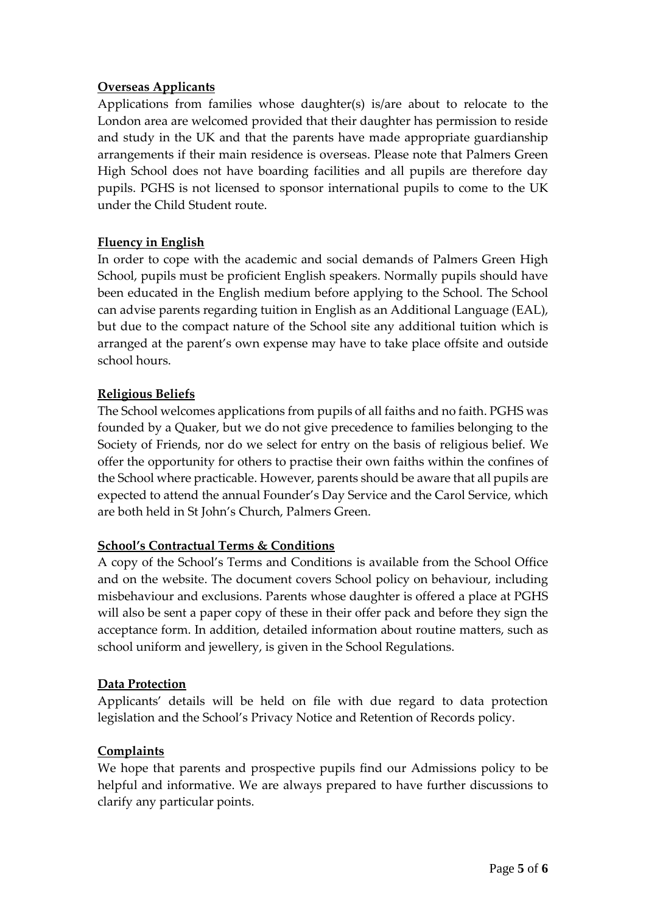## **Overseas Applicants**

Applications from families whose daughter(s) is/are about to relocate to the London area are welcomed provided that their daughter has permission to reside and study in the UK and that the parents have made appropriate guardianship arrangements if their main residence is overseas. Please note that Palmers Green High School does not have boarding facilities and all pupils are therefore day pupils. PGHS is not licensed to sponsor international pupils to come to the UK under the Child Student route.

# **Fluency in English**

In order to cope with the academic and social demands of Palmers Green High School, pupils must be proficient English speakers. Normally pupils should have been educated in the English medium before applying to the School. The School can advise parents regarding tuition in English as an Additional Language (EAL), but due to the compact nature of the School site any additional tuition which is arranged at the parent's own expense may have to take place offsite and outside school hours.

# **Religious Beliefs**

The School welcomes applications from pupils of all faiths and no faith. PGHS was founded by a Quaker, but we do not give precedence to families belonging to the Society of Friends, nor do we select for entry on the basis of religious belief. We offer the opportunity for others to practise their own faiths within the confines of the School where practicable. However, parents should be aware that all pupils are expected to attend the annual Founder's Day Service and the Carol Service, which are both held in St John's Church, Palmers Green.

### **School's Contractual Terms & Conditions**

A copy of the School's Terms and Conditions is available from the School Office and on the website. The document covers School policy on behaviour, including misbehaviour and exclusions. Parents whose daughter is offered a place at PGHS will also be sent a paper copy of these in their offer pack and before they sign the acceptance form. In addition, detailed information about routine matters, such as school uniform and jewellery, is given in the School Regulations.

### **Data Protection**

Applicants' details will be held on file with due regard to data protection legislation and the School's Privacy Notice and Retention of Records policy.

### **Complaints**

We hope that parents and prospective pupils find our Admissions policy to be helpful and informative. We are always prepared to have further discussions to clarify any particular points.